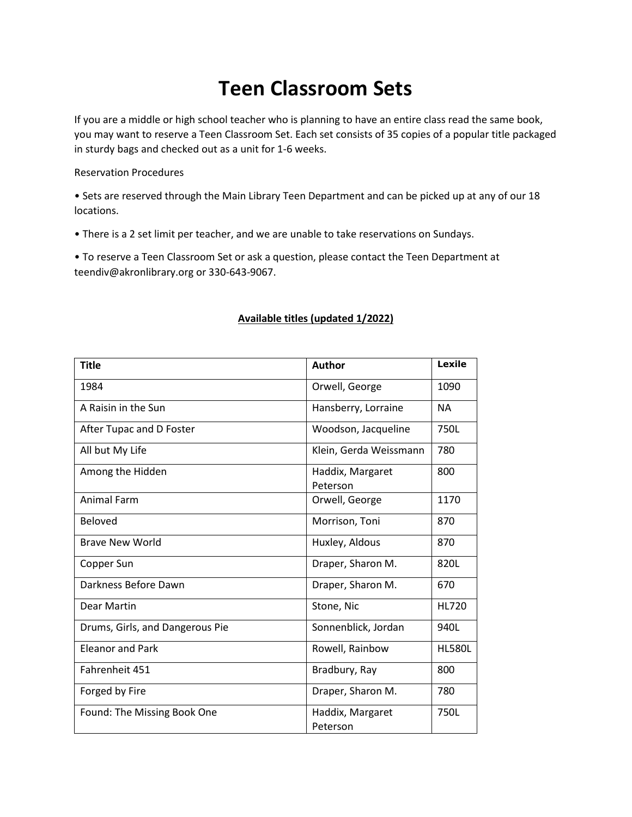## **Teen Classroom Sets**

If you are a middle or high school teacher who is planning to have an entire class read the same book, you may want to reserve a Teen Classroom Set. Each set consists of 35 copies of a popular title packaged in sturdy bags and checked out as a unit for 1-6 weeks.

Reservation Procedures

• Sets are reserved through the Main Library Teen Department and can be picked up at any of our 18 locations.

• There is a 2 set limit per teacher, and we are unable to take reservations on Sundays.

• To reserve a Teen Classroom Set or ask a question, please contact the Teen Department at teendiv@akronlibrary.org or 330-643-9067.

## **Title Author Lexile** 1984 | Orwell, George | 1090 A Raisin in the Sun **Hansberry, Lorraine** NA After Tupac and D Foster Matcheson Music Control (Woodson, Jacqueline | 750L) All but My Life Klein, Gerda Weissmann | 780 Among the Hidden **Haddix**, Margaret Peterson 800 Animal Farm  $\vert$  Orwell, George  $\vert$  1170 Beloved Boloved **Morrison, Toni** 870 Brave New World **Brave New World** Huxley, Aldous 870 Copper Sun Network Copper Sun Network Copper Sun Network Sharon M. (820L) Darkness Before Dawn Draper, Sharon M. 670 Dear Martin No. 1996 (Stone, Nic Nicolas Stone, Nic Nicolas Stone, Nicolas Stone, Nicolas Stone, Nicolas Stone, Nicolas Stone, Nicolas Stone, Nicolas Stone, Nicolas Stone, Nicolas Stone, Nicolas Stone, Nicolas Stone, Nicol Drums, Girls, and Dangerous Pie Sonnenblick, Jordan | 940L Eleanor and Park **Rowell, Rainbow** HL580L Fahrenheit 451 Bradbury, Ray 800 Forged by Fire **Example 2** | Draper, Sharon M. | 780 Found: The Missing Book One | Haddix, Margaret Peterson 750L

## **Available titles (updated 1/2022)**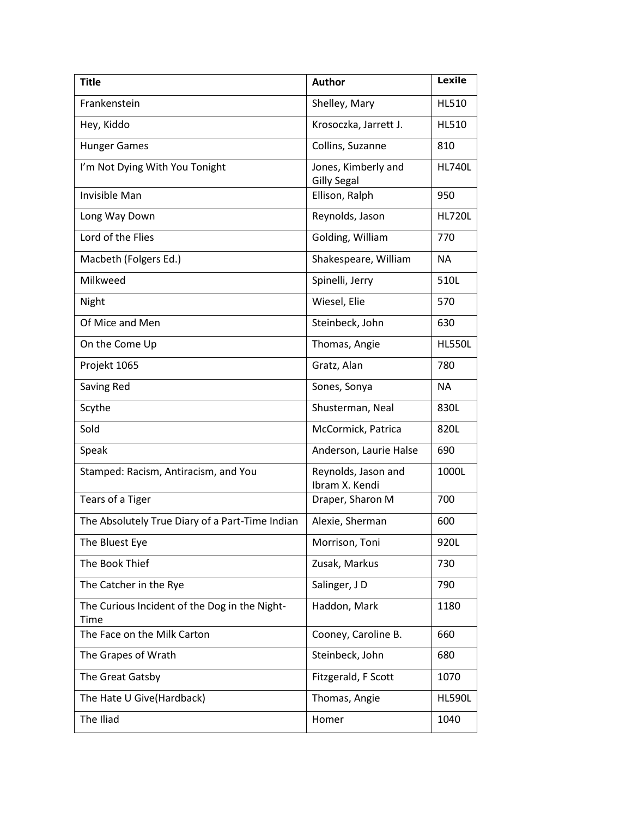| <b>Title</b>                                          | <b>Author</b>                             | <b>Lexile</b> |
|-------------------------------------------------------|-------------------------------------------|---------------|
| Frankenstein                                          | Shelley, Mary                             | <b>HL510</b>  |
| Hey, Kiddo                                            | Krosoczka, Jarrett J.                     | <b>HL510</b>  |
| <b>Hunger Games</b>                                   | Collins, Suzanne                          | 810           |
| I'm Not Dying With You Tonight                        | Jones, Kimberly and<br><b>Gilly Segal</b> | <b>HL740L</b> |
| <b>Invisible Man</b>                                  | Ellison, Ralph                            | 950           |
| Long Way Down                                         | Reynolds, Jason                           | <b>HL720L</b> |
| Lord of the Flies                                     | Golding, William                          | 770           |
| Macbeth (Folgers Ed.)                                 | Shakespeare, William                      | <b>NA</b>     |
| Milkweed                                              | Spinelli, Jerry                           | 510L          |
| Night                                                 | Wiesel, Elie                              | 570           |
| Of Mice and Men                                       | Steinbeck, John                           | 630           |
| On the Come Up                                        | Thomas, Angie                             | <b>HL550L</b> |
| Projekt 1065                                          | Gratz, Alan                               | 780           |
| Saving Red                                            | Sones, Sonya                              | <b>NA</b>     |
| Scythe                                                | Shusterman, Neal                          | 830L          |
| Sold                                                  | McCormick, Patrica                        | 820L          |
| Speak                                                 | Anderson, Laurie Halse                    | 690           |
| Stamped: Racism, Antiracism, and You                  | Reynolds, Jason and<br>Ibram X. Kendi     | 1000L         |
| Tears of a Tiger                                      | Draper, Sharon M                          | 700           |
| The Absolutely True Diary of a Part-Time Indian       | Alexie, Sherman                           | 600           |
| The Bluest Eye                                        | Morrison, Toni                            | 920L          |
| The Book Thief                                        | Zusak, Markus                             | 730           |
| The Catcher in the Rye                                | Salinger, JD                              | 790           |
| The Curious Incident of the Dog in the Night-<br>Time | Haddon, Mark                              | 1180          |
| The Face on the Milk Carton                           | Cooney, Caroline B.                       | 660           |
| The Grapes of Wrath                                   | Steinbeck, John                           | 680           |
| The Great Gatsby                                      | Fitzgerald, F Scott                       | 1070          |
| The Hate U Give(Hardback)                             | Thomas, Angie                             | <b>HL590L</b> |
| The Iliad                                             | Homer                                     | 1040          |